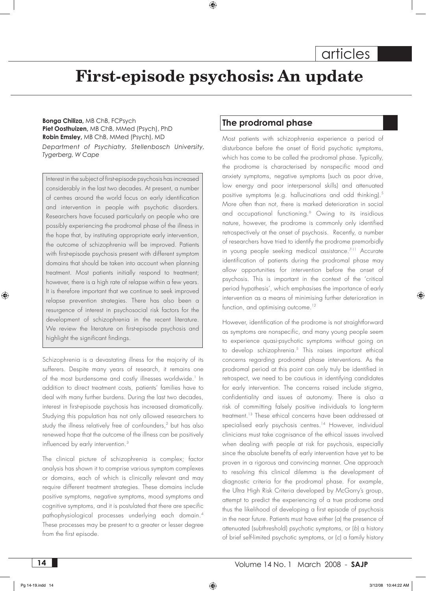# **First-episode psychosis: An update**

**Bonga Chiliza,** MB ChB, FCPsych **Piet Oosthuizen,** MB ChB, MMed (Psych), PhD **Robin Emsley,** MB ChB, MMed (Psych), MD *Department of Psychiatry, Stellenbosch University, Tygerberg, W Cape*

Interest in the subject of first-episode psychosis has increased considerably in the last two decades. At present, a number of centres around the world focus on early identification and intervention in people with psychotic disorders. Researchers have focused particularly on people who are possibly experiencing the prodromal phase of the illness in the hope that, by instituting appropriate early intervention, the outcome of schizophrenia will be improved. Patients with first-episode psychosis present with different symptom domains that should be taken into account when planning treatment. Most patients initially respond to treatment; however, there is a high rate of relapse within a few years. It is therefore important that we continue to seek improved relapse prevention strategies. There has also been a resurgence of interest in psychosocial risk factors for the development of schizophrenia in the recent literature. We review the literature on first-episode psychosis and highlight the significant findings.

Schizophrenia is a devastating illness for the majority of its sufferers. Despite many years of research, it remains one of the most burdensome and costly illnesses worldwide.<sup>1</sup> In addition to direct treatment costs, patients' families have to deal with many further burdens. During the last two decades, interest in first-episode psychosis has increased dramatically. Studying this population has not only allowed researchers to study the illness relatively free of confounders,<sup>2</sup> but has also renewed hope that the outcome of the illness can be positively influenced by early intervention.<sup>3</sup>

The clinical picture of schizophrenia is complex; factor analysis has shown it to comprise various symptom complexes or domains, each of which is clinically relevant and may require different treatment strategies. These domains include positive symptoms, negative symptoms, mood symptoms and cognitive symptoms, and it is postulated that there are specific pathophysiological processes underlying each domain.4 These processes may be present to a greater or lesser degree from the first episode.

# **The prodromal phase**

Most patients with schizophrenia experience a period of disturbance before the onset of florid psychotic symptoms, which has come to be called the prodromal phase. Typically, the prodrome is characterised by nonspecific mood and anxiety symptoms, negative symptoms (such as poor drive, low energy and poor interpersonal skills) and attenuated positive symptoms (e.g. hallucinations and odd thinking).<sup>5</sup> More often than not, there is marked deterioration in social and occupational functioning.6 Owing to its insidious nature, however, the prodrome is commonly only identified retrospectively at the onset of psychosis. Recently, a number of researchers have tried to identify the prodrome premorbidly in young people seeking medical assistance.<sup>7-11</sup> Accurate identification of patients during the prodromal phase may allow opportunities for intervention before the onset of psychosis. This is important in the context of the 'critical period hypothesis', which emphasises the importance of early intervention as a means of minimising further deterioration in function, and optimising outcome.<sup>12</sup>

However, identification of the prodrome is not straightforward as symptoms are nonspecific, and many young people seem to experience quasi-psychotic symptoms without going on to develop schizophrenia.5 This raises important ethical concerns regarding prodromal phase interventions. As the prodromal period at this point can only truly be identified in retrospect, we need to be cautious in identifying candidates for early intervention. The concerns raised include stigma, confidentiality and issues of autonomy. There is also a risk of committing falsely positive individuals to long-term treatment.13 These ethical concerns have been addressed at specialised early psychosis centres.<sup>14</sup> However, individual clinicians must take cognisance of the ethical issues involved when dealing with people at risk for psychosis, especially since the absolute benefits of early intervention have yet to be proven in a rigorous and convincing manner. One approach to resolving this clinical dilemma is the development of diagnostic criteria for the prodromal phase. For example, the Ultra High Risk Criteria developed by McGorry's group, attempt to predict the experiencing of a true prodrome and thus the likelihood of developing a first episode of psychosis in the near future. Patients must have either (*a*) the presence of attenuated (subthreshold) psychotic symptoms, or (*b*) a history of brief self-limited psychotic symptoms, or (*c*) a family history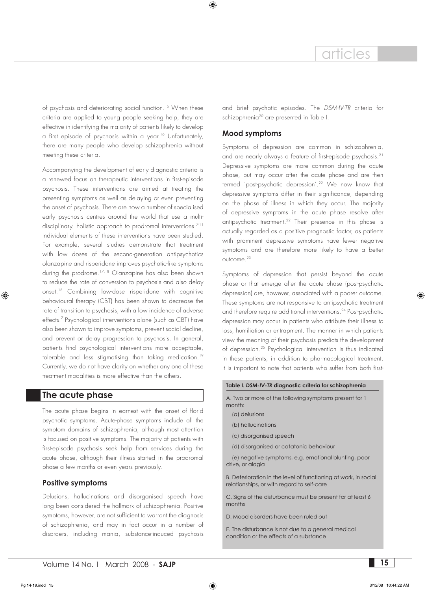of psychosis and deteriorating social function.<sup>15</sup> When these criteria are applied to young people seeking help, they are effective in identifying the majority of patients likely to develop a first episode of psychosis within a year.<sup>16</sup> Unfortunately, there are many people who develop schizophrenia without meeting these criteria.

Accompanying the development of early diagnostic criteria is a renewed focus on therapeutic interventions in first-episode psychosis. These interventions are aimed at treating the presenting symptoms as well as delaying or even preventing the onset of psychosis. There are now a number of specialised early psychosis centres around the world that use a multidisciplinary, holistic approach to prodromal interventions.<sup>7-11</sup> Individual elements of these interventions have been studied. For example, several studies demonstrate that treatment with low doses of the second-generation antipsychotics olanzapine and risperidone improves psychotic-like symptoms during the prodrome.<sup>17,18</sup> Olanzapine has also been shown to reduce the rate of conversion to psychosis and also delay onset.18 Combining low-dose risperidone with cognitive behavioural therapy (CBT) has been shown to decrease the rate of transition to psychosis, with a low incidence of adverse effects.7 Psychological interventions alone (such as CBT) have also been shown to improve symptoms, prevent social decline, and prevent or delay progression to psychosis. In general, patients find psychological interventions more acceptable, tolerable and less stigmatising than taking medication.<sup>19</sup> Currently, we do not have clarity on whether any one of these treatment modalities is more effective than the others.

#### **The acute phase**

The acute phase begins in earnest with the onset of florid psychotic symptoms. Acute-phase symptoms include all the symptom domains of schizophrenia, although most attention is focused on positive symptoms. The majority of patients with first-episode psychosis seek help from services during the acute phase, although their illness started in the prodromal phase a few months or even years previously.

#### **Positive symptoms**

Delusions, hallucinations and disorganised speech have long been considered the hallmark of schizophrenia. Positive symptoms, however, are not sufficient to warrant the diagnosis of schizophrenia, and may in fact occur in a number of disorders, including mania, substance-induced psychosis and brief psychotic episodes. The *DSM-IV-TR* criteria for schizophrenia<sup>20</sup> are presented in Table I.

#### **Mood symptoms**

Symptoms of depression are common in schizophrenia, and are nearly always a feature of first-episode psychosis.<sup>21</sup> Depressive symptoms are more common during the acute phase, but may occur after the acute phase and are then termed 'post-psychotic depression'.<sup>22</sup> We now know that depressive symptoms differ in their significance, depending on the phase of illness in which they occur. The majority of depressive symptoms in the acute phase resolve after antipsychotic treatment.<sup>22</sup> Their presence in this phase is actually regarded as a positive prognostic factor, as patients with prominent depressive symptoms have fewer negative symptoms and are therefore more likely to have a better outcome.<sup>23</sup>

Symptoms of depression that persist beyond the acute phase or that emerge after the acute phase (post-psychotic depression) are, however, associated with a poorer outcome. These symptoms are not responsive to antipsychotic treatment and therefore require additional interventions.<sup>24</sup> Post-psychotic depression may occur in patients who attribute their illness to loss, humiliation or entrapment. The manner in which patients view the meaning of their psychosis predicts the development of depression.25 Psychological intervention is thus indicated in these patients, in addition to pharmacological treatment. It is important to note that patients who suffer from both first-

#### **Table I.** *DSM-IV-TR* **diagnostic criteria for schizophrenia**

A. Two or more of the following symptoms present for 1 month:

- (a) delusions
- (b) hallucinations
- (c) disorganised speech
- (d) disorganised or catatonic behaviour

(e) negative symptoms, e.g. emotional blunting, poor drive, or alogia

B. Deterioration in the level of functioning at work, in social relationships, or with regard to self-care

C. Signs of the disturbance must be present for at least 6 months

D. Mood disorders have been ruled out

E. The disturbance is not due to a general medical condition or the effects of a substance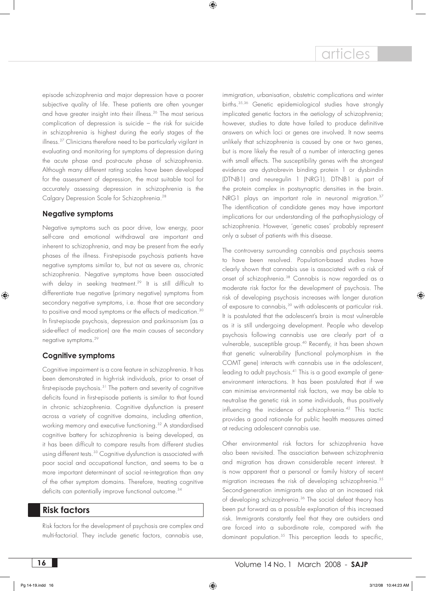episode schizophrenia and major depression have a poorer subjective quality of life. These patients are often younger and have greater insight into their illness.<sup>26</sup> The most serious complication of depression is suicide – the risk for suicide in schizophrenia is highest during the early stages of the illness.<sup>27</sup> Clinicians therefore need to be particularly vigilant in evaluating and monitoring for symptoms of depression during the acute phase and post-acute phase of schizophrenia. Although many different rating scales have been developed for the assessment of depression, the most suitable tool for accurately assessing depression in schizophrenia is the Calgary Depression Scale for Schizophrenia.28

#### **Negative symptoms**

Negative symptoms such as poor drive, low energy, poor self-care and emotional withdrawal are important and inherent to schizophrenia, and may be present from the early phases of the illness. First-episode psychosis patients have negative symptoms similar to, but not as severe as, chronic schizophrenia. Negative symptoms have been associated with delay in seeking treatment.<sup>29</sup> It is still difficult to differentiate true negative (primary negative) symptoms from secondary negative symptoms, i.e. those that are secondary to positive and mood symptoms or the effects of medication.<sup>30</sup> In first-episode psychosis, depression and parkinsonism (as a side-effect of medication) are the main causes of secondary negative symptoms.29

# **Cognitive symptoms**

Cognitive impairment is a core feature in schizophrenia. It has been demonstrated in high-risk individuals, prior to onset of first-episode psychosis.31 The pattern and severity of cognitive deficits found in first-episode patients is similar to that found in chronic schizophrenia. Cognitive dysfunction is present across a variety of cognitive domains, including attention, working memory and executive functioning.<sup>32</sup> A standardised cognitive battery for schizophrenia is being developed, as it has been difficult to compare results from different studies using different tests.<sup>33</sup> Cognitive dysfunction is associated with poor social and occupational function, and seems to be a more important determinant of social re-integration than any of the other symptom domains. Therefore, treating cognitive deficits can potentially improve functional outcome.<sup>34</sup>

# **Risk factors**

Risk factors for the development of psychosis are complex and multi-factorial. They include genetic factors, cannabis use,

immigration, urbanisation, obstetric complications and winter births.35,36 Genetic epidemiological studies have strongly implicated genetic factors in the aetiology of schizophrenia; however, studies to date have failed to produce definitive answers on which loci or genes are involved. It now seems unlikely that schizophrenia is caused by one or two genes, but is more likely the result of a number of interacting genes with small effects. The susceptibility genes with the strongest evidence are dystrobrevin binding protein 1 or dysbindin (DTNB1) and neuregulin 1 (NRG1). DTNB1 is part of the protein complex in postsynaptic densities in the brain. NRG1 plays an important role in neuronal migration.<sup>37</sup> The identification of candidate genes may have important implications for our understanding of the pathophysiology of schizophrenia. However, 'genetic cases' probably represent only a subset of patients with this disease.

The controversy surrounding cannabis and psychosis seems to have been resolved. Population-based studies have clearly shown that cannabis use is associated with a risk of onset of schizophrenia.<sup>38</sup> Cannabis is now regarded as a moderate risk factor for the development of psychosis. The risk of developing psychosis increases with longer duration of exposure to cannabis,<sup>39</sup> with adolescents at particular risk. It is postulated that the adolescent's brain is most vulnerable as it is still undergoing development. People who develop psychosis following cannabis use are clearly part of a vulnerable, susceptible group.<sup>40</sup> Recently, it has been shown that genetic vulnerability (functional polymorphism in the COMT gene) interacts with cannabis use in the adolescent, leading to adult psychosis.<sup>41</sup> This is a good example of geneenvironment interactions. It has been postulated that if we can minimise environmental risk factors, we may be able to neutralise the genetic risk in some individuals, thus positively influencing the incidence of schizophrenia.<sup>42</sup> This tactic provides a good rationale for public health measures aimed at reducing adolescent cannabis use.

Other environmental risk factors for schizophrenia have also been revisited. The association between schizophrenia and migration has drawn considerable recent interest. It is now apparent that a personal or family history of recent migration increases the risk of developing schizophrenia.35 Second-generation immigrants are also at an increased risk of developing schizophrenia.<sup>36</sup> The social defeat theory has been put forward as a possible explanation of this increased risk. Immigrants constantly feel that they are outsiders and are forced into a subordinate role, compared with the dominant population.35 This perception leads to specific,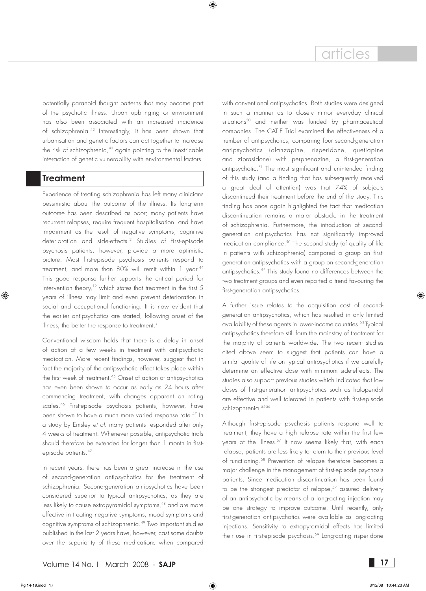potentially paranoid thought patterns that may become part of the psychotic illness. Urban upbringing or environment has also been associated with an increased incidence of schizophrenia.42 Interestingly, it has been shown that urbanisation and genetic factors can act together to increase the risk of schizophrenia, $43$  again pointing to the inextricable interaction of genetic vulnerability with environmental factors.

# **Treatment**

Experience of treating schizophrenia has left many clinicians pessimistic about the outcome of the illness. Its long-term outcome has been described as poor; many patients have recurrent relapses, require frequent hospitalisation, and have impairment as the result of negative symptoms, cognitive deterioration and side-effects.2 Studies of first-episode psychosis patients, however, provide a more optimistic picture. Most first-episode psychosis patients respond to treatment, and more than 80% will remit within 1 year.<sup>44</sup> This good response further supports the critical period for intervention theory,<sup>12</sup> which states that treatment in the first  $5$ years of illness may limit and even prevent deterioration in social and occupational functioning. It is now evident that the earlier antipsychotics are started, following onset of the illness, the better the response to treatment.<sup>3</sup>

Conventional wisdom holds that there is a delay in onset of action of a few weeks in treatment with antipsychotic medication. More recent findings, however, suggest that in fact the majority of the antipsychotic effect takes place within the first week of treatment.<sup>45</sup> Onset of action of antipsychotics has even been shown to occur as early as 24 hours after commencing treatment, with changes apparent on rating scales.46 First-episode psychosis patients, however, have been shown to have a much more varied response rate.<sup>47</sup> In a study by Emsley *et al*. many patients responded after only 4 weeks of treatment. Whenever possible, antipsychotic trials should therefore be extended for longer than 1 month in firstepisode patients.<sup>47</sup>

In recent years, there has been a great increase in the use of second-generation antipsychotics for the treatment of schizophrenia. Second-generation antipsychotics have been considered superior to typical antipsychotics, as they are less likely to cause extrapyramidal symptoms,<sup>48</sup> and are more effective in treating negative symptoms, mood symptoms and cognitive symptoms of schizophrenia.<sup>49</sup> Two important studies published in the last 2 years have, however, cast some doubts over the superiority of these medications when compared

with conventional antipsychotics. Both studies were designed in such a manner as to closely mirror everyday clinical situations<sup>50</sup> and neither was funded by pharmaceutical companies. The CATIE Trial examined the effectiveness of a number of antipsychotics, comparing four second-generation antipsychotics (olanzapine, risperidone, quetiapine and ziprasidone) with perphenazine, a first-generation antipsychotic.51 The most significant and unintended finding of this study (and a finding that has subsequently received a great deal of attention) was that 74% of subjects discontinued their treatment before the end of the study. This finding has once again highlighted the fact that medication discontinuation remains a major obstacle in the treatment of schizophrenia. Furthermore, the introduction of secondgeneration antipsychotics has not significantly improved medication compliance.<sup>50</sup> The second study (of quality of life in patients with schizophrenia) compared a group on firstgeneration antipsychotics with a group on second-generation antipsychotics.52 This study found no differences between the two treatment groups and even reported a trend favouring the first-generation antipsychotics.

A further issue relates to the acquisition cost of secondgeneration antipsychotics, which has resulted in only limited availability of these agents in lower-income countries.<sup>53</sup> Typical antipsychotics therefore still form the mainstay of treatment for the majority of patients worldwide. The two recent studies cited above seem to suggest that patients can have a similar quality of life on typical antipsychotics if we carefully determine an effective dose with minimum side-effects. The studies also support previous studies which indicated that low doses of first-generation antipsychotics such as haloperidol are effective and well tolerated in patients with first-episode schizophrenia.<sup>54-56</sup>

Although first-episode psychosis patients respond well to treatment, they have a high relapse rate within the first few years of the illness.<sup>57</sup> It now seems likely that, with each relapse, patients are less likely to return to their previous level of functioning.58 Prevention of relapse therefore becomes a major challenge in the management of first-episode psychosis patients. Since medication discontinuation has been found to be the strongest predictor of relapse,<sup>57</sup> assured delivery of an antipsychotic by means of a long-acting injection may be one strategy to improve outcome. Until recently, only first-generation antipsychotics were available as long-acting injections. Sensitivity to extrapyramidal effects has limited their use in first-episode psychosis.<sup>59</sup> Long-acting risperidone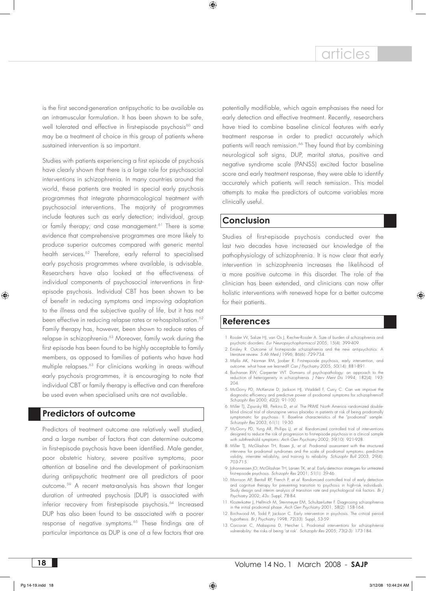is the first second-generation antipsychotic to be available as an intramuscular formulation. It has been shown to be safe, well tolerated and effective in first-episode psychosis<sup>60</sup> and may be a treatment of choice in this group of patients where sustained intervention is so important.

Studies with patients experiencing a first episode of psychosis have clearly shown that there is a large role for psychosocial interventions in schizophrenia. In many countries around the world, these patients are treated in special early psychosis programmes that integrate pharmacological treatment with psychosocial interventions. The majority of programmes include features such as early detection; individual, group or family therapy; and case management.<sup>61</sup> There is some evidence that comprehensive programmes are more likely to produce superior outcomes compared with generic mental health services.<sup>62</sup> Therefore, early referral to specialised early psychosis programmes where available, is advisable. Researchers have also looked at the effectiveness of individual components of psychosocial interventions in firstepisode psychosis. Individual CBT has been shown to be of benefit in reducing symptoms and improving adaptation to the illness and the subjective quality of life, but it has not been effective in reducing relapse rates or re-hospitalisation.<sup>62</sup> Family therapy has, however, been shown to reduce rates of relapse in schizophrenia.<sup>63</sup> Moreover, family work during the first episode has been found to be highly acceptable to family members, as opposed to families of patients who have had multiple relapses.63 For clinicians working in areas without early psychosis programmes, it is encouraging to note that individual CBT or family therapy is effective and can therefore be used even when specialised units are not available.

# **Predictors of outcome**

Predictors of treatment outcome are relatively well studied, and a large number of factors that can determine outcome in first-episode psychosis have been identified. Male gender, poor obstetric history, severe positive symptoms, poor attention at baseline and the development of parkinsonism during antipsychotic treatment are all predictors of poor outcome.59 A recent meta-analysis has shown that longer duration of untreated psychosis (DUP) is associated with inferior recovery from first-episode psychosis.<sup>64</sup> Increased DUP has also been found to be associated with a poorer response of negative symptoms.<sup>65</sup> These findings are of particular importance as DUP is one of a few factors that are

potentially modifiable, which again emphasises the need for early detection and effective treatment. Recently, researchers have tried to combine baseline clinical features with early treatment response in order to predict accurately which patients will reach remission.<sup>66</sup> They found that by combining neurological soft signs, DUP, marital status, positive and negative syndrome scale (PANSS) excited factor baseline score and early treatment response, they were able to identify accurately which patients will reach remission. This model attempts to make the predictors of outcome variables more clinically useful.

# **Conclusion**

Studies of first-episode psychosis conducted over the last two decades have increased our knowledge of the pathophysiology of schizophrenia. It is now clear that early intervention in schizophrenia increases the likelihood of a more positive outcome in this disorder. The role of the clinician has been extended, and clinicians can now offer holistic interventions with renewed hope for a better outcome for their patients.

# **References**

- 1. Rossler W, Salize HJ, van Os J, Riecher-Rossler A. Size of burden of schizophrenia and psychotic disorders. *Eur Neuropsychopharmacol* 2005; 15(4): 399-409.
- 2. Emsley R. Outcome of first-episode schizophrenia and the new antipsychotics: A literature review. *S Afr Med J* 1996; 86(6): 729-734.
- 3. Malla AK, Norman RM, Joober R. First-episode psychosis, early intervention, and outcome: what have we learned? *Can J Psychiatry* 2005; 50(14): 881-891.
- 4. Buchanan RW, Carpenter WT. Domains of psychopathology: an approach to the reduction of heterogeneity in schizophrenia. *J Nerv Ment Dis* 1994; 182(4): 193- 204.
- 5. McGorry PD, McKenzie D, Jackson HJ, Waddell F, Curry C. Can we improve the diagnostic efficiency and predictive power of prodromal symptoms for schizophrenia? *Schizophr Res* 2000; 42(2): 91-100.
- 6. Miller TJ, Zipursky RB, Perkins D, *et al*. The PRIME North America randomized doubleblind clinical trial of olanzapine versus placebo in patients at risk of being prodromally symptomatic for psychosis. II. Baseline characteristics of the "prodromal" sample. *Schizophr Res* 2003; 61(1): 19-30.
- 7. McGorry PD, Yung AR, Phillips LJ, *et al*. Randomized controlled trial of interventions designed to reduce the risk of progression to first-episode psychosis in a clinical sample with subthreshold symptoms. *Arch Gen Psychiatry* 2002; 59(10): 921-928.
- 8. Miller TJ, McGlashan TH, Rosen JL, *et al.* Prodromal assessment with the structured interview for prodromal syndromes and the scale of prodromal symptoms: predictive validity, interrater reliability, and training to reliability. *Schizophr Bull* 2003; 29(4): 703-715.
- 9. Johannessen JO, McGlashan TH, Larsen TK, *et al*. Early detection strategies for untreated first-episode psychosis. *Schizophr Res* 2001; 51(1): 39-46.
- 10. Morrison AP, Bentall RP, French P, *et al*. Randomised controlled trial of early detection and cognitive therapy for preventing transition to psychosis in high-risk individuals. Study design and interim analysis of transition rate and psychological risk factors. *Br J Psychiatry* 2002; 43s: Suppl, 78-84.
- 11. Klosterkotter J, Hellmich M, Steinmeyer EM, Schultze-Lutter F. Diagnosing schizophrenia in the initial prodromal phase. *Arch Gen Psychiatry* 2001; 58(2): 158-164.
- 12. Birchwood M, Todd P, Jackson C. Early intervention in psychosis. The critical period hypothesis. *Br J Psychiatry* 1998; 72(33): Suppl, 53-59.
- 13. Corcoran C, Malaspina D, Hercher L. Prodromal interventions for schizophrenia vulnerability: the risks of being 'at risk'. *Schizophr Res* 2005; 73(2-3): 173-184.